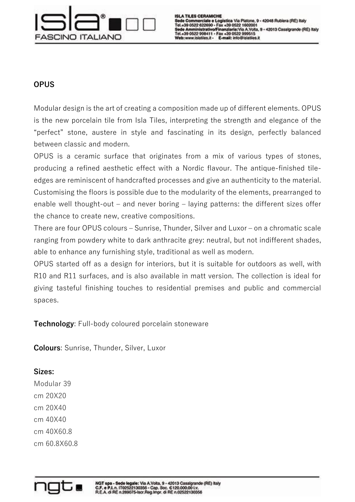

## **OPUS**

Modular design is the art of creating a composition made up of different elements. OPUS is the new porcelain tile from Isla Tiles, interpreting the strength and elegance of the "perfect" stone, austere in style and fascinating in its design, perfectly balanced between classic and modern.

OPUS is a ceramic surface that originates from a mix of various types of stones, producing a refined aesthetic effect with a Nordic flavour. The antique-finished tileedges are reminiscent of handcrafted processes and give an authenticity to the material. Customising the floors is possible due to the modularity of the elements, prearranged to enable well thought-out – and never boring – laying patterns: the different sizes offer the chance to create new, creative compositions.

There are four OPUS colours – Sunrise, Thunder, Silver and Luxor – on a chromatic scale ranging from powdery white to dark anthracite grey: neutral, but not indifferent shades, able to enhance any furnishing style, traditional as well as modern.

OPUS started off as a design for interiors, but it is suitable for outdoors as well, with R10 and R11 surfaces, and is also available in matt version. The collection is ideal for giving tasteful finishing touches to residential premises and public and commercial spaces.

**Technology**: Full-body coloured porcelain stoneware

**Colours**: Sunrise, Thunder, Silver, Luxor

## **Sizes:**

Modular 39 cm 20X20 cm 20X40 cm 40X40 cm 40X60.8 cm 60.8X60.8